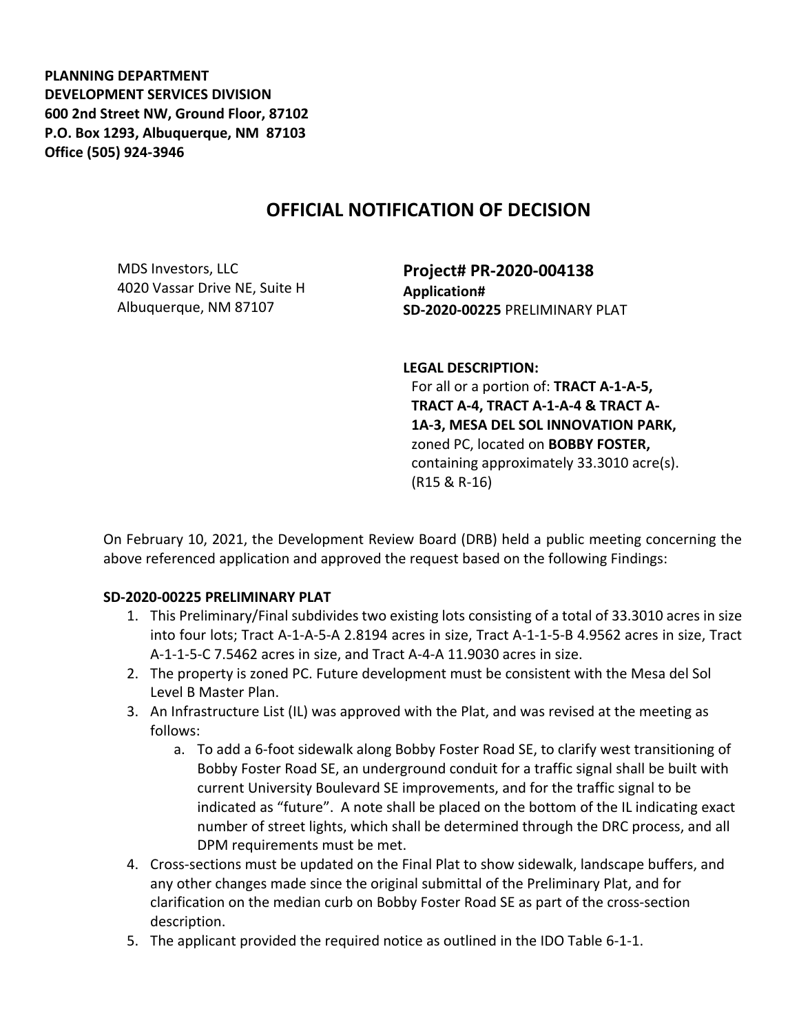**PLANNING DEPARTMENT DEVELOPMENT SERVICES DIVISION 600 2nd Street NW, Ground Floor, 87102 P.O. Box 1293, Albuquerque, NM 87103 Office (505) 924-3946** 

## **OFFICIAL NOTIFICATION OF DECISION**

MDS Investors, LLC 4020 Vassar Drive NE, Suite H Albuquerque, NM 87107

**Project# PR-2020-004138 Application# SD-2020-00225** PRELIMINARY PLAT

**LEGAL DESCRIPTION:** For all or a portion of: **TRACT A-1-A-5, TRACT A-4, TRACT A-1-A-4 & TRACT A-1A-3, MESA DEL SOL INNOVATION PARK,**  zoned PC, located on **BOBBY FOSTER,**  containing approximately 33.3010 acre(s). (R15 & R-16)

On February 10, 2021, the Development Review Board (DRB) held a public meeting concerning the above referenced application and approved the request based on the following Findings:

## **SD-2020-00225 PRELIMINARY PLAT**

- 1. This Preliminary/Final subdivides two existing lots consisting of a total of 33.3010 acres in size into four lots; Tract A-1-A-5-A 2.8194 acres in size, Tract A-1-1-5-B 4.9562 acres in size, Tract A-1-1-5-C 7.5462 acres in size, and Tract A-4-A 11.9030 acres in size.
- 2. The property is zoned PC. Future development must be consistent with the Mesa del Sol Level B Master Plan.
- 3. An Infrastructure List (IL) was approved with the Plat, and was revised at the meeting as follows:
	- a. To add a 6-foot sidewalk along Bobby Foster Road SE, to clarify west transitioning of Bobby Foster Road SE, an underground conduit for a traffic signal shall be built with current University Boulevard SE improvements, and for the traffic signal to be indicated as "future". A note shall be placed on the bottom of the IL indicating exact number of street lights, which shall be determined through the DRC process, and all DPM requirements must be met.
- 4. Cross-sections must be updated on the Final Plat to show sidewalk, landscape buffers, and any other changes made since the original submittal of the Preliminary Plat, and for clarification on the median curb on Bobby Foster Road SE as part of the cross-section description.
- 5. The applicant provided the required notice as outlined in the IDO Table 6-1-1.